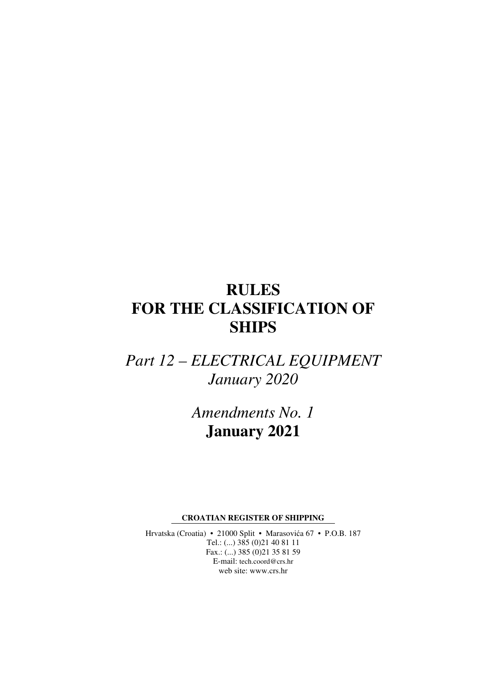# **RULES FOR THE CLASSIFICATION OF SHIPS**

*Part 12 – ELECTRICAL EQUIPMENT January 2020* 

> *Amendments No. 1*  **January 2021**

**CROATIAN REGISTER OF SHIPPING** 

Hrvatska (Croatia) • 21000 Split • Marasovića 67 • P.O.B. 187 Tel.: (...) 385 (0)21 40 81 11 Fax.: (...) 385 (0)21 35 81 59 E-mail: tech.coord@crs.hr web site: www.crs.hr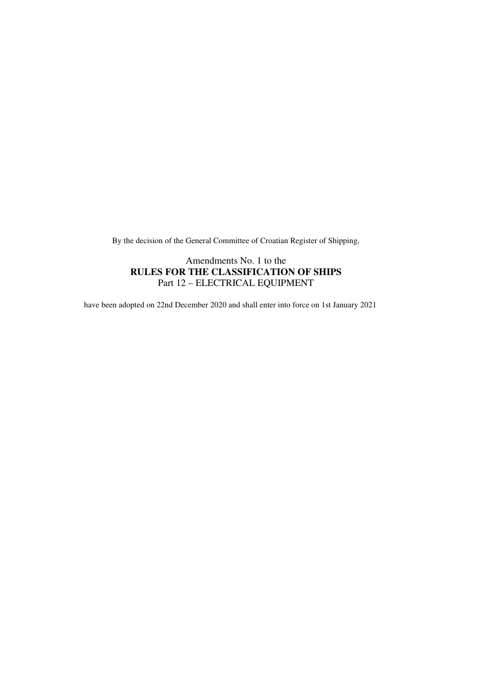By the decision of the General Committee of Croatian Register of Shipping,

### Amendments No. 1 to the **RULES FOR THE CLASSIFICATION OF SHIPS**  Part 12 – ELECTRICAL EQUIPMENT

have been adopted on 22nd December 2020 and shall enter into force on 1st January 2021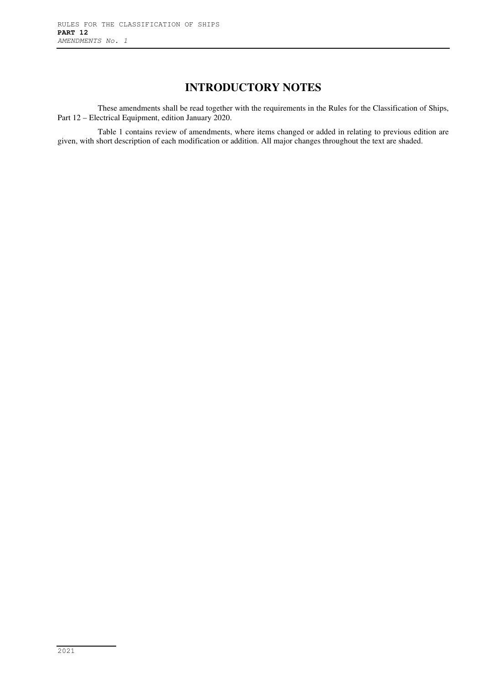## **INTRODUCTORY NOTES**

These amendments shall be read together with the requirements in the Rules for the Classification of Ships, Part 12 – Electrical Equipment, edition January 2020.

Table 1 contains review of amendments, where items changed or added in relating to previous edition are given, with short description of each modification or addition. All major changes throughout the text are shaded.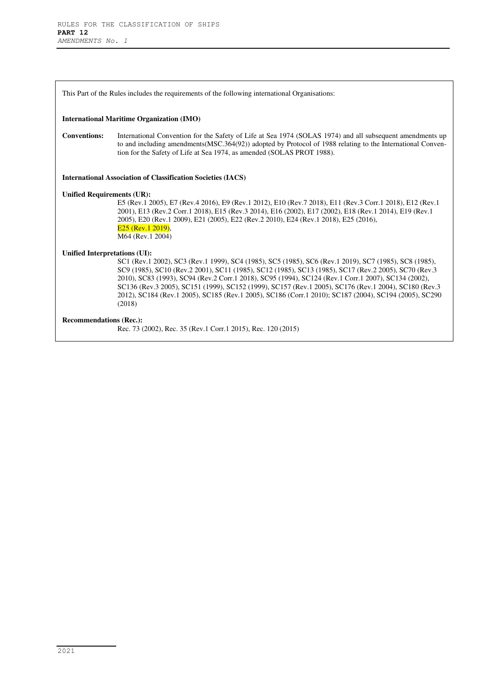This Part of the Rules includes the requirements of the following international Organisations:

#### **International Maritime Organization (IMO)**

**Conventions:** International Convention for the Safety of Life at Sea 1974 (SOLAS 1974) and all subsequent amendments up to and including amendments(MSC.364(92)) adopted by Protocol of 1988 relating to the International Convention for the Safety of Life at Sea 1974, as amended (SOLAS PROT 1988).

**International Association of Classification Societies (IACS)** 

#### **Unified Requirements (UR):**

E5 (Rev.1 2005), E7 (Rev.4 2016), E9 (Rev.1 2012), E10 (Rev.7 2018), E11 (Rev.3 Corr.1 2018), E12 (Rev.1 2001), E13 (Rev.2 Corr.1 2018), E15 (Rev.3 2014), E16 (2002), E17 (2002), E18 (Rev.1 2014), E19 (Rev.1 2005), E20 (Rev.1 2009), E21 (2005), E22 (Rev.2 2010), E24 (Rev.1 2018), E25 (2016), E<sub>25</sub> (Rev. 1 2019). M64 (Rev.1 2004)

#### **Unified Interpretations (UI):**

SC1 (Rev.1 2002), SC3 (Rev.1 1999), SC4 (1985), SC5 (1985), SC6 (Rev.1 2019), SC7 (1985), SC8 (1985), SC9 (1985), SC10 (Rev.2 2001), SC11 (1985), SC12 (1985), SC13 (1985), SC17 (Rev.2 2005), SC70 (Rev.3 2010), SC83 (1993), SC94 (Rev.2 Corr.1 2018), SC95 (1994), SC124 (Rev.1 Corr.1 2007), SC134 (2002), SC136 (Rev.3 2005), SC151 (1999), SC152 (1999), SC157 (Rev.1 2005), SC176 (Rev.1 2004), SC180 (Rev.3 2012), SC184 (Rev.1 2005), SC185 (Rev.1 2005), SC186 (Corr.1 2010); SC187 (2004), SC194 (2005), SC290 (2018)

#### **Recommendations (Rec.):**

Rec. 73 (2002), Rec. 35 (Rev.1 Corr.1 2015), Rec. 120 (2015)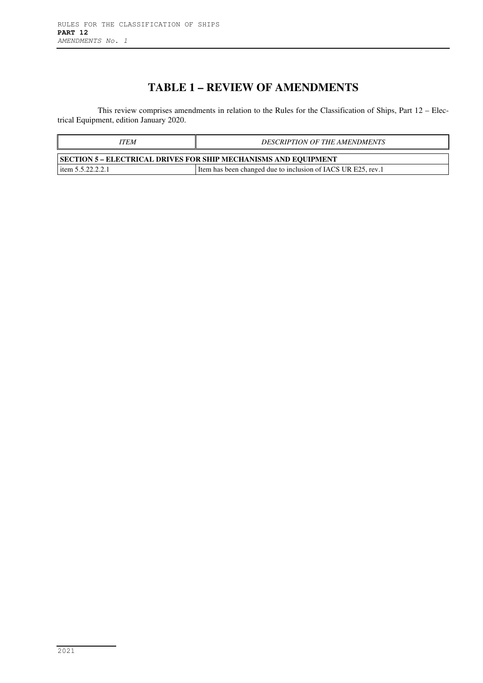## **TABLE 1 – REVIEW OF AMENDMENTS**

This review comprises amendments in relation to the Rules for the Classification of Ships, Part 12 – Electrical Equipment, edition January 2020.

| ITEM                                                            | <b>DESCRIPTION OF THE AMENDMENTS</b>                           |
|-----------------------------------------------------------------|----------------------------------------------------------------|
| SECTION 5 – ELECTRICAL DRIVES FOR SHIP MECHANISMS AND EQUIPMENT |                                                                |
| item $5.5.22.2.2.1$                                             | I Item has been changed due to inclusion of IACS UR E25, rev.1 |